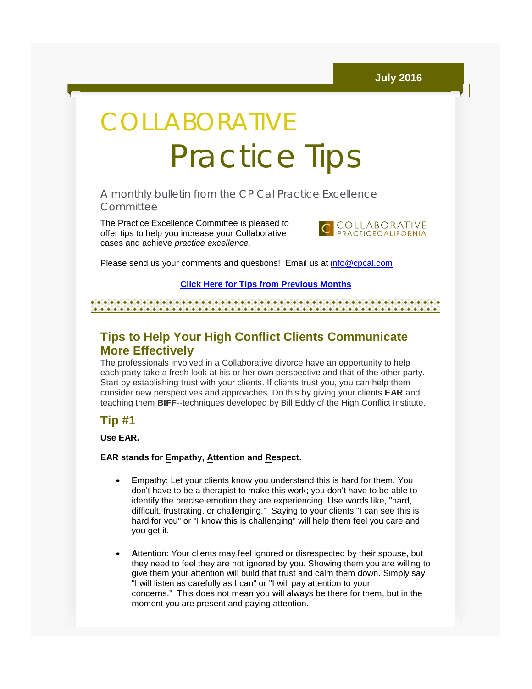# COLLABORATIVE Practice Tips

A monthly bulletin from the CP Cal Practice Excellence **Committee** 

The Practice Excellence Committee is pleased to offer tips to help you increase your Collaborative cases and achieve *practice excellence.*



Please send us your comments and questions! Email us at [info@cpcal.com](mailto:info@cpcal.com)

#### **[Click Here for Tips from Previous Months](http://r20.rs6.net/tn.jsp?f=001vqrtF3HY5iIR4r1vO9tpJqOu3PjyMwuVRP9m4CbOPcOBjluOmqD3yWgIQ-Dwf1AxkMnbWIVM0mwx-YVjueYDL2U0pntPB0DiSJ1VykK71c5pY9LLwQxCSd-QMXAHrLV00GRNgsjBQ00IDTjZwtiG6b-Frdxftl2hEf3FXJ3AZZN98KDNzq8tdNEPtkPSA0fFluOvZBwM8PTrjZ2kjGWV7Vof-WDoQatsCYxKURlCSaZtwc-WFnBXWA==&c=Y6tTiL-WJ2sbGdLzaDPY2jgVd4A80Svh7UmF7HDkItZkwZpto02JWA==&ch=y9_9lvDyi6SxrK5pR1L-ZITaDCPequ538r8BgV71eitcJ-H27fJToQ==)**

## **Tips to Help Your High Conflict Clients Communicate More Effectively**

The professionals involved in a Collaborative divorce have an opportunity to help each party take a fresh look at his or her own perspective and that of the other party. Start by establishing trust with your clients. If clients trust you, you can help them consider new perspectives and approaches. Do this by giving your clients **EAR** and teaching them **BIFF**--techniques developed by Bill Eddy of the High Conflict Institute.

## **Tip #1**

**Use EAR.**

### **EAR stands for Empathy, Attention and Respect.**

- **E**mpathy: Let your clients know you understand this is hard for them. You don't have to be a therapist to make this work; you don't have to be able to identify the precise emotion they are experiencing. Use words like, "hard, difficult, frustrating, or challenging." Saying to your clients "I can see this is hard for you" or "I know this is challenging" will help them feel you care and you get it.
- **A**ttention: Your clients may feel ignored or disrespected by their spouse, but they need to feel they are not ignored by you. Showing them you are willing to give them your attention will build that trust and calm them down. Simply say "I will listen as carefully as I can" or "I will pay attention to your concerns." This does not mean you will always be there for them, but in the moment you are present and paying attention.